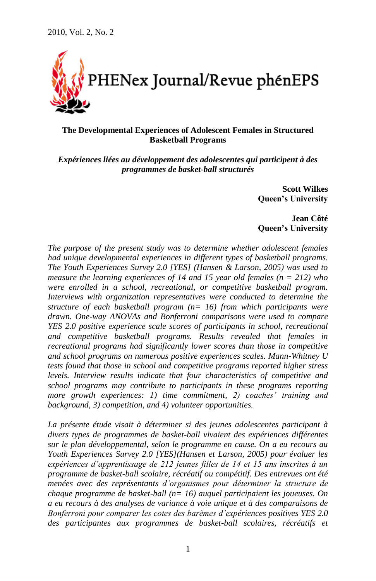

# **The Developmental Experiences of Adolescent Females in Structured Basketball Programs**

*Expériences liées au développement des adolescentes qui participent à des programmes de basket-ball structurés*

> **Scott Wilkes Queen's University**

> **Jean Côté Queen's University**

*The purpose of the present study was to determine whether adolescent females had unique developmental experiences in different types of basketball programs. The Youth Experiences Survey 2.0 [YES] (Hansen & Larson, 2005) was used to measure the learning experiences of 14 and 15 year old females (n = 212) who were enrolled in a school, recreational, or competitive basketball program. Interviews with organization representatives were conducted to determine the structure of each basketball program (n= 16) from which participants were drawn. One-way ANOVAs and Bonferroni comparisons were used to compare YES 2.0 positive experience scale scores of participants in school, recreational and competitive basketball programs. Results revealed that females in recreational programs had significantly lower scores than those in competitive and school programs on numerous positive experiences scales. Mann-Whitney U tests found that those in school and competitive programs reported higher stress levels. Interview results indicate that four characteristics of competitive and school programs may contribute to participants in these programs reporting more growth experiences: 1) time commitment, 2) coaches' training and background, 3) competition, and 4) volunteer opportunities.* 

*La présente étude visait à déterminer si des jeunes adolescentes participant à divers types de programmes de basket-ball vivaient des expériences différentes sur le plan développemental, selon le programme en cause. On a eu recours au Youth Experiences Survey 2.0 [YES](Hansen et Larson, 2005) pour évaluer les expériences d'apprentissage de 212 jeunes filles de 14 et 15 ans inscrites à un programme de basket-ball scolaire, récréatif ou compétitif. Des entrevues ont été menées avec des représentants d'organismes pour déterminer la structure de chaque programme de basket-ball (n= 16) auquel participaient les joueuses. On a eu recours à des analyses de variance à voie unique et à des comparaisons de Bonferroni pour comparer les cotes des barèmes d'expériences positives YES 2.0*  des participantes aux programmes de basket-ball scolaires, récréatifs et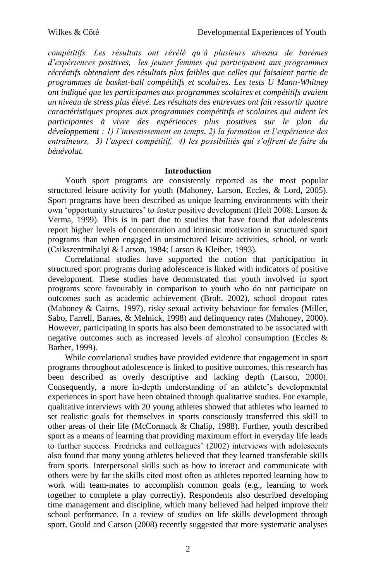*compétitifs. Les résultats ont révélé qu'à plusieurs niveaux de barèmes d'expériences positives, les jeunes femmes qui participaient aux programmes récréatifs obtenaient des résultats plus faibles que celles qui faisaient partie de programmes de basket-ball compétitifs et scolaires. Les tests U Mann-Whitney ont indiqué que les participantes aux programmes scolaires et compétitifs avaient un niveau de stress plus élevé. Les résultats des entrevues ont fait ressortir quatre caractéristiques propres aux programmes compétitifs et scolaires qui aident les participantes à vivre des expériences plus positives sur le plan du développement : 1) l'investissement en temps, 2) la formation et l'expérience des entraîneurs, 3) l'aspect compétitif, 4) les possibilités qui s'offrent de faire du bénévolat.* 

### **Introduction**

Youth sport programs are consistently reported as the most popular structured leisure activity for youth (Mahoney, Larson, Eccles, & Lord, 2005). Sport programs have been described as unique learning environments with their own "opportunity structures" to foster positive development (Holt 2008; Larson & Verma, 1999). This is in part due to studies that have found that adolescents report higher levels of concentration and intrinsic motivation in structured sport programs than when engaged in unstructured leisure activities, school, or work (Csikszentmihalyi & Larson, 1984; Larson & Kleiber, 1993).

Correlational studies have supported the notion that participation in structured sport programs during adolescence is linked with indicators of positive development. These studies have demonstrated that youth involved in sport programs score favourably in comparison to youth who do not participate on outcomes such as academic achievement (Broh, 2002), school dropout rates (Mahoney & Cairns, 1997), risky sexual activity behaviour for females (Miller, Sabo, Farrell, Barnes, & Melnick, 1998) and delinquency rates (Mahoney, 2000). However, participating in sports has also been demonstrated to be associated with negative outcomes such as increased levels of alcohol consumption (Eccles & Barber, 1999).

While correlational studies have provided evidence that engagement in sport programs throughout adolescence is linked to positive outcomes, this research has been described as overly descriptive and lacking depth (Larson, 2000). Consequently, a more in-depth understanding of an athlete's developmental experiences in sport have been obtained through qualitative studies. For example, qualitative interviews with 20 young athletes showed that athletes who learned to set realistic goals for themselves in sports consciously transferred this skill to other areas of their life (McCormack & Chalip, 1988). Further, youth described sport as a means of learning that providing maximum effort in everyday life leads to further success. Fredricks and colleagues' (2002) interviews with adolescents also found that many young athletes believed that they learned transferable skills from sports. Interpersonal skills such as how to interact and communicate with others were by far the skills cited most often as athletes reported learning how to work with team-mates to accomplish common goals (e.g., learning to work together to complete a play correctly). Respondents also described developing time management and discipline, which many believed had helped improve their school performance. In a review of studies on life skills development through sport, Gould and Carson (2008) recently suggested that more systematic analyses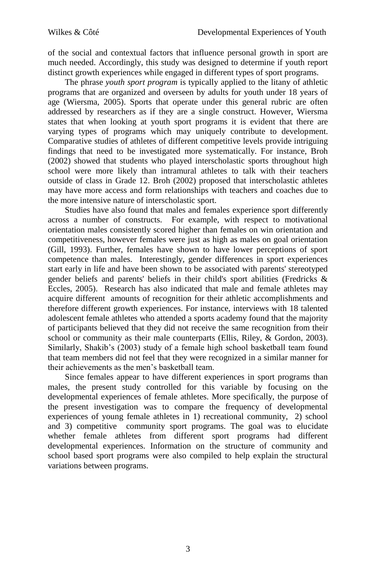of the social and contextual factors that influence personal growth in sport are much needed. Accordingly, this study was designed to determine if youth report distinct growth experiences while engaged in different types of sport programs.

The phrase *youth sport program* is typically applied to the litany of athletic programs that are organized and overseen by adults for youth under 18 years of age (Wiersma, 2005). Sports that operate under this general rubric are often addressed by researchers as if they are a single construct. However, Wiersma states that when looking at youth sport programs it is evident that there are varying types of programs which may uniquely contribute to development. Comparative studies of athletes of different competitive levels provide intriguing findings that need to be investigated more systematically. For instance, Broh (2002) showed that students who played interscholastic sports throughout high school were more likely than intramural athletes to talk with their teachers outside of class in Grade 12. Broh (2002) proposed that interscholastic athletes may have more access and form relationships with teachers and coaches due to the more intensive nature of interscholastic sport.

Studies have also found that males and females experience sport differently across a number of constructs. For example, with respect to motivational orientation males consistently scored higher than females on win orientation and competitiveness, however females were just as high as males on goal orientation (Gill, 1993). Further, females have shown to have lower perceptions of sport competence than males. Interestingly, gender differences in sport experiences start early in life and have been shown to be associated with parents' stereotyped gender beliefs and parents' beliefs in their child's sport abilities (Fredricks & Eccles, 2005). Research has also indicated that male and female athletes may acquire different amounts of recognition for their athletic accomplishments and therefore different growth experiences. For instance, interviews with 18 talented adolescent female athletes who attended a sports academy found that the majority of participants believed that they did not receive the same recognition from their school or community as their male counterparts (Ellis, Riley, & Gordon, 2003). Similarly, Shakib"s (2003) study of a female high school basketball team found that team members did not feel that they were recognized in a similar manner for their achievements as the men"s basketball team.

Since females appear to have different experiences in sport programs than males, the present study controlled for this variable by focusing on the developmental experiences of female athletes. More specifically, the purpose of the present investigation was to compare the frequency of developmental experiences of young female athletes in 1) recreational community, 2) school and 3) competitive community sport programs. The goal was to elucidate whether female athletes from different sport programs had different developmental experiences. Information on the structure of community and school based sport programs were also compiled to help explain the structural variations between programs.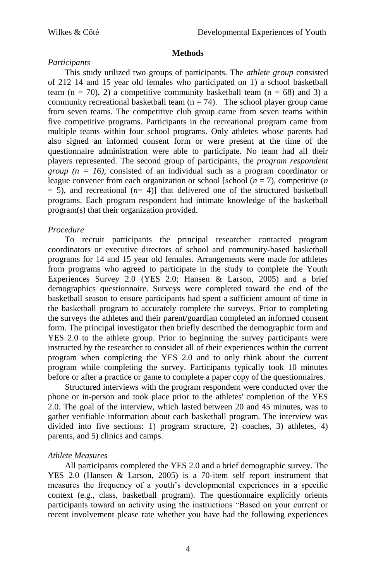### **Methods**

# *Participants*

This study utilized two groups of participants. The *athlete group* consisted of 212 14 and 15 year old females who participated on 1) a school basketball team (n = 70), 2) a competitive community basketball team (n = 68) and 3) a community recreational basketball team  $(n = 74)$ . The school player group came from seven teams. The competitive club group came from seven teams within five competitive programs. Participants in the recreational program came from multiple teams within four school programs. Only athletes whose parents had also signed an informed consent form or were present at the time of the questionnaire administration were able to participate. No team had all their players represented. The second group of participants, the *program respondent group (n = 16),* consisted of an individual such as a program coordinator or league convener from each organization or school [school  $(n = 7)$ , competitive  $(n \leq 7)$ ]  $= 5$ ), and recreational  $(n= 4)$ ] that delivered one of the structured basketball programs. Each program respondent had intimate knowledge of the basketball program(s) that their organization provided.

# *Procedure*

To recruit participants the principal researcher contacted program coordinators or executive directors of school and community-based basketball programs for 14 and 15 year old females. Arrangements were made for athletes from programs who agreed to participate in the study to complete the Youth Experiences Survey 2.0 (YES 2.0; Hansen & Larson, 2005) and a brief demographics questionnaire. Surveys were completed toward the end of the basketball season to ensure participants had spent a sufficient amount of time in the basketball program to accurately complete the surveys. Prior to completing the surveys the athletes and their parent/guardian completed an informed consent form. The principal investigator then briefly described the demographic form and YES 2.0 to the athlete group. Prior to beginning the survey participants were instructed by the researcher to consider all of their experiences within the current program when completing the YES 2.0 and to only think about the current program while completing the survey. Participants typically took 10 minutes before or after a practice or game to complete a paper copy of the questionnaires.

Structured interviews with the program respondent were conducted over the phone or in-person and took place prior to the athletes' completion of the YES 2.0. The goal of the interview, which lasted between 20 and 45 minutes, was to gather verifiable information about each basketball program. The interview was divided into five sections: 1) program structure, 2) coaches, 3) athletes, 4) parents, and 5) clinics and camps.

# *Athlete Measures*

All participants completed the YES 2.0 and a brief demographic survey. The YES 2.0 (Hansen & Larson, 2005) is a 70-item self report instrument that measures the frequency of a youth's developmental experiences in a specific context (e.g., class, basketball program). The questionnaire explicitly orients participants toward an activity using the instructions "Based on your current or recent involvement please rate whether you have had the following experiences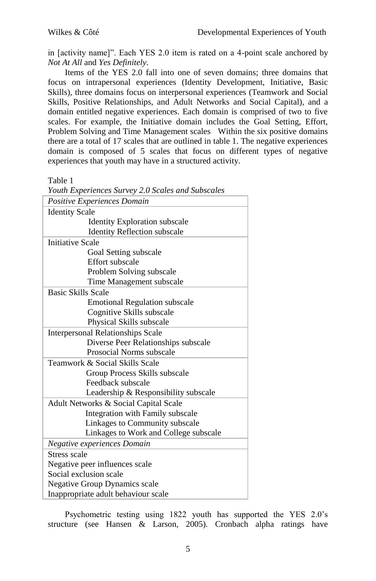in [activity name]". Each YES 2.0 item is rated on a 4-point scale anchored by *Not At All* and *Yes Definitely*.

Items of the YES 2.0 fall into one of seven domains; three domains that focus on intrapersonal experiences (Identity Development, Initiative, Basic Skills), three domains focus on interpersonal experiences (Teamwork and Social Skills, Positive Relationships, and Adult Networks and Social Capital), and a domain entitled negative experiences. Each domain is comprised of two to five scales. For example, the Initiative domain includes the Goal Setting, Effort, Problem Solving and Time Management scales Within the six positive domains there are a total of 17 scales that are outlined in table 1. The negative experiences domain is composed of 5 scales that focus on different types of negative experiences that youth may have in a structured activity.

Table 1

| Youth Experiences Survey 2.0 Scales and Subscales |
|---------------------------------------------------|
| Positive Experiences Domain                       |
| <b>Identity Scale</b>                             |
| <b>Identity Exploration subscale</b>              |
| <b>Identity Reflection subscale</b>               |
| <b>Initiative Scale</b>                           |
| Goal Setting subscale                             |
| Effort subscale                                   |
| Problem Solving subscale                          |
| Time Management subscale                          |
| <b>Basic Skills Scale</b>                         |
| <b>Emotional Regulation subscale</b>              |
| Cognitive Skills subscale                         |
| Physical Skills subscale                          |
| <b>Interpersonal Relationships Scale</b>          |
| Diverse Peer Relationships subscale               |
| Prosocial Norms subscale                          |
| Teamwork & Social Skills Scale                    |
| Group Process Skills subscale                     |
| Feedback subscale                                 |
| Leadership & Responsibility subscale              |
| Adult Networks & Social Capital Scale             |
| Integration with Family subscale                  |
| Linkages to Community subscale                    |
| Linkages to Work and College subscale             |
| Negative experiences Domain                       |
| Stress scale                                      |
| Negative peer influences scale                    |
| Social exclusion scale                            |
| <b>Negative Group Dynamics scale</b>              |
| Inappropriate adult behaviour scale               |

*Youth Experiences Survey 2.0 Scales and Subscales*

Psychometric testing using 1822 youth has supported the YES 2.0"s structure (see Hansen & Larson, 2005). Cronbach alpha ratings have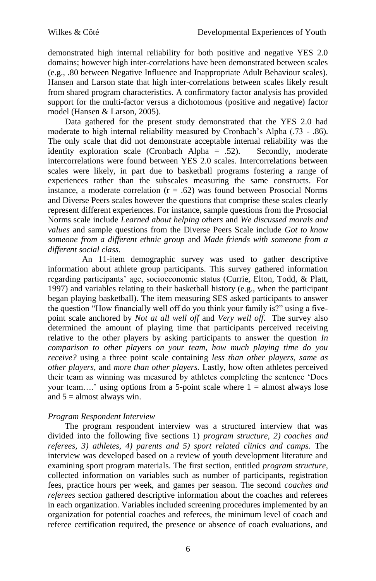demonstrated high internal reliability for both positive and negative YES 2.0 domains; however high inter-correlations have been demonstrated between scales (e.g., .80 between Negative Influence and Inappropriate Adult Behaviour scales). Hansen and Larson state that high inter-correlations between scales likely result from shared program characteristics. A confirmatory factor analysis has provided support for the multi-factor versus a dichotomous (positive and negative) factor model (Hansen & Larson, 2005).

Data gathered for the present study demonstrated that the YES 2.0 had moderate to high internal reliability measured by Cronbach"s Alpha (.73 - .86). The only scale that did not demonstrate acceptable internal reliability was the identity exploration scale (Cronbach Alpha  $= .52$ ). Secondly, moderate intercorrelations were found between YES 2.0 scales. Intercorrelations between scales were likely, in part due to basketball programs fostering a range of experiences rather than the subscales measuring the same constructs. For instance, a moderate correlation  $(r = .62)$  was found between Prosocial Norms and Diverse Peers scales however the questions that comprise these scales clearly represent different experiences. For instance, sample questions from the Prosocial Norms scale include *Learned about helping others* and *We discussed morals and values* and sample questions from the Diverse Peers Scale include *Got to know someone from a different ethnic group* and *Made friends with someone from a different social class*.

An 11-item demographic survey was used to gather descriptive information about athlete group participants. This survey gathered information regarding participants" age, socioeconomic status (Currie, Elton, Todd, & Platt, 1997) and variables relating to their basketball history (e.g., when the participant began playing basketball). The item measuring SES asked participants to answer the question "How financially well off do you think your family is?" using a fivepoint scale anchored by *Not at all well off* and *Very well off*. The survey also determined the amount of playing time that participants perceived receiving relative to the other players by asking participants to answer the question *In comparison to other players on your team, how much playing time do you receive?* using a three point scale containing *less than other players, same as other players,* and *more than other players.* Lastly, how often athletes perceived their team as winning was measured by athletes completing the sentence "Does your team....' using options from a 5-point scale where  $1 =$  almost always lose and  $5 =$  almost always win.

# *Program Respondent Interview*

The program respondent interview was a structured interview that was divided into the following five sections 1) *program structure, 2) coaches and referees, 3) athletes, 4) parents and 5) sport related clinics and camps.* The interview was developed based on a review of youth development literature and examining sport program materials. The first section, entitled *program structure,* collected information on variables such as number of participants, registration fees, practice hours per week, and games per season. The second *coaches and referees* section gathered descriptive information about the coaches and referees in each organization. Variables included screening procedures implemented by an organization for potential coaches and referees, the minimum level of coach and referee certification required, the presence or absence of coach evaluations, and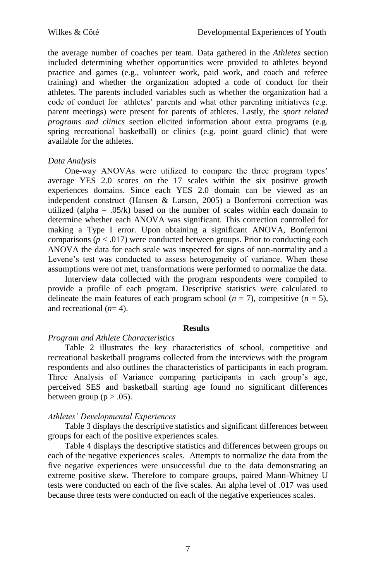the average number of coaches per team. Data gathered in the *Athletes* section included determining whether opportunities were provided to athletes beyond practice and games (e.g., volunteer work, paid work, and coach and referee training) and whether the organization adopted a code of conduct for their athletes. The parents included variables such as whether the organization had a code of conduct for athletes' parents and what other parenting initiatives (e.g. parent meetings) were present for parents of athletes. Lastly, the *sport related programs and clinics* section elicited information about extra programs (e.g. spring recreational basketball) or clinics (e.g. point guard clinic) that were available for the athletes.

### *Data Analysis*

One-way ANOVAs were utilized to compare the three program types' average YES 2.0 scores on the 17 scales within the six positive growth experiences domains. Since each YES 2.0 domain can be viewed as an independent construct (Hansen & Larson, 2005) a Bonferroni correction was utilized (alpha =  $.05/k$ ) based on the number of scales within each domain to determine whether each ANOVA was significant. This correction controlled for making a Type I error. Upon obtaining a significant ANOVA, Bonferroni comparisons ( $p < .017$ ) were conducted between groups. Prior to conducting each ANOVA the data for each scale was inspected for signs of non-normality and a Levene's test was conducted to assess heterogeneity of variance. When these assumptions were not met, transformations were performed to normalize the data.

Interview data collected with the program respondents were compiled to provide a profile of each program. Descriptive statistics were calculated to delineate the main features of each program school ( $n = 7$ ), competitive ( $n = 5$ ), and recreational (*n*= 4).

### **Results**

### *Program and Athlete Characteristics*

Table 2 illustrates the key characteristics of school, competitive and recreational basketball programs collected from the interviews with the program respondents and also outlines the characteristics of participants in each program. Three Analysis of Variance comparing participants in each group"s age, perceived SES and basketball starting age found no significant differences between group ( $p > .05$ ).

### *Athletes' Developmental Experiences*

Table 3 displays the descriptive statistics and significant differences between groups for each of the positive experiences scales.

Table 4 displays the descriptive statistics and differences between groups on each of the negative experiences scales. Attempts to normalize the data from the five negative experiences were unsuccessful due to the data demonstrating an extreme positive skew. Therefore to compare groups, paired Mann-Whitney U tests were conducted on each of the five scales. An alpha level of .017 was used because three tests were conducted on each of the negative experiences scales.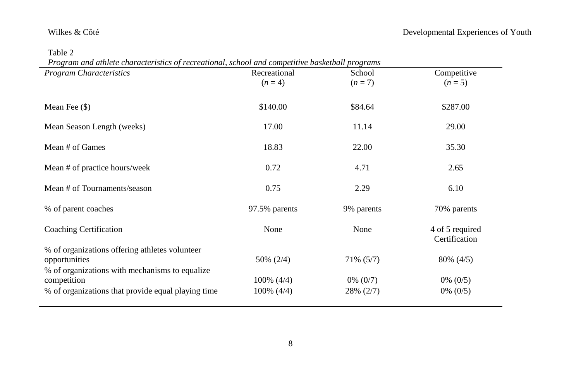### Table 2

*Program and athlete characteristics of recreational, school and competitive basketball programs*

| т годтит ини иниене спитистетвного ор тестейнонин, зоноот ини сотретное оизменят ртодтить<br><b>Program Characteristics</b> | Recreational<br>$(n=4)$ | School<br>$(n=7)$ | Competitive<br>$(n=5)$           |
|-----------------------------------------------------------------------------------------------------------------------------|-------------------------|-------------------|----------------------------------|
| Mean Fee $(\$)$                                                                                                             | \$140.00                | \$84.64           | \$287.00                         |
| Mean Season Length (weeks)                                                                                                  | 17.00                   | 11.14             | 29.00                            |
| Mean # of Games                                                                                                             | 18.83                   | 22.00             | 35.30                            |
| Mean # of practice hours/week                                                                                               | 0.72                    | 4.71              | 2.65                             |
| Mean # of Tournaments/season                                                                                                | 0.75                    | 2.29              | 6.10                             |
| % of parent coaches                                                                                                         | 97.5% parents           | 9% parents        | 70% parents                      |
| Coaching Certification                                                                                                      | None                    | None              | 4 of 5 required<br>Certification |
| % of organizations offering athletes volunteer<br>opportunities<br>% of organizations with mechanisms to equalize           | 50% (2/4)               | 71% (5/7)         | 80% (4/5)                        |
| competition                                                                                                                 | $100\%$ (4/4)           | $0\%$ (0/7)       | $0\%$ (0/5)                      |
| % of organizations that provide equal playing time                                                                          | $100\%$ (4/4)           | 28% (2/7)         | $0\%$ (0/5)                      |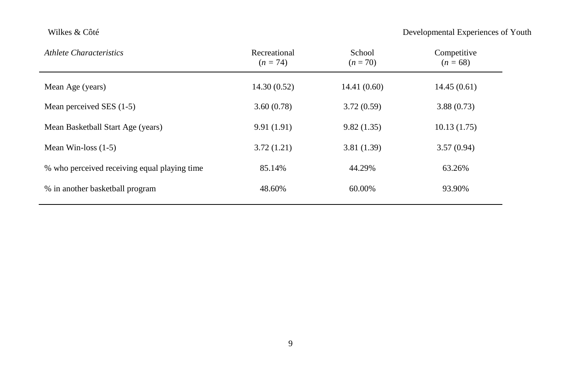# Wilkes & Côté Developmental Experiences of Youth

| Athlete Characteristics                      | Recreational<br>$(n = 74)$ | School<br>$(n=70)$ | Competitive<br>$(n = 68)$ |
|----------------------------------------------|----------------------------|--------------------|---------------------------|
| Mean Age (years)                             | 14.30(0.52)                | 14.41(0.60)        | 14.45(0.61)               |
| Mean perceived SES (1-5)                     | 3.60(0.78)                 | 3.72(0.59)         | 3.88(0.73)                |
| Mean Basketball Start Age (years)            | 9.91(1.91)                 | 9.82(1.35)         | 10.13(1.75)               |
| Mean Win-loss $(1-5)$                        | 3.72(1.21)                 | 3.81(1.39)         | 3.57(0.94)                |
| % who perceived receiving equal playing time | 85.14%                     | 44.29%             | 63.26%                    |
| % in another basketball program              | 48.60%                     | 60.00%             | 93.90%                    |
|                                              |                            |                    |                           |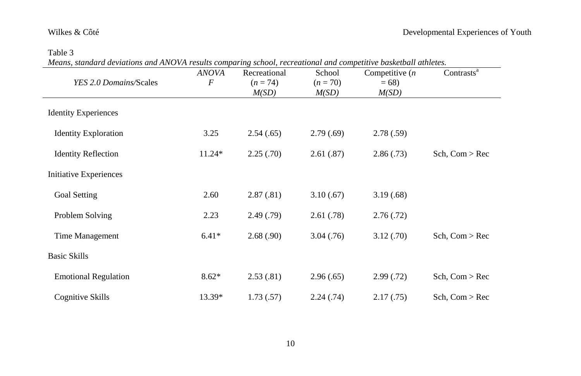# Table 3

*Means, standard deviations and ANOVA results comparing school, recreational and competitive basketball athletes.*

| YES 2.0 Domains/Scales      | ANOVA<br>F | Recreational<br>$(n = 74)$<br>M(SD) | School<br>$(n = 70)$<br>M(SD) | Competitive $(n)$<br>$= 68$<br>M(SD) | Contrasts <sup>a</sup> |
|-----------------------------|------------|-------------------------------------|-------------------------------|--------------------------------------|------------------------|
| <b>Identity Experiences</b> |            |                                     |                               |                                      |                        |
| <b>Identity Exploration</b> | 3.25       | 2.54(.65)                           | 2.79(.69)                     | 2.78(.59)                            |                        |
| <b>Identity Reflection</b>  | $11.24*$   | 2.25(.70)                           | 2.61(.87)                     | 2.86(.73)                            | Sch, Com > Rec         |
| Initiative Experiences      |            |                                     |                               |                                      |                        |
| Goal Setting                | 2.60       | 2.87(.81)                           | 3.10(.67)                     | 3.19(.68)                            |                        |
| Problem Solving             | 2.23       | 2.49(0.79)                          | 2.61(.78)                     | 2.76(.72)                            |                        |
| Time Management             | $6.41*$    | 2.68(.90)                           | 3.04(.76)                     | 3.12(.70)                            | Sch, Com > Rec         |
| <b>Basic Skills</b>         |            |                                     |                               |                                      |                        |
| <b>Emotional Regulation</b> | $8.62*$    | 2.53(.81)                           | 2.96(.65)                     | 2.99(0.72)                           | Sch, Com > Rec         |
| Cognitive Skills            | 13.39*     | 1.73(.57)                           | 2.24(.74)                     | 2.17(0.75)                           | Sch, Com > Rec         |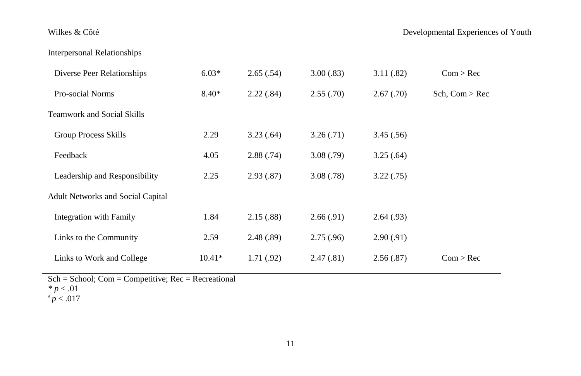# Interpersonal Relationships

| Diverse Peer Relationships        | $6.03*$  | 2.65(.54)  | 3.00(.83) | 3.11(.82)  | Com > Rec      |
|-----------------------------------|----------|------------|-----------|------------|----------------|
| Pro-social Norms                  | $8.40*$  | 2.22(.84)  | 2.55(.70) | 2.67(.70)  | Sch, Com > Rec |
| Teamwork and Social Skills        |          |            |           |            |                |
| <b>Group Process Skills</b>       | 2.29     | 3.23(.64)  | 3.26(.71) | 3.45(.56)  |                |
| Feedback                          | 4.05     | 2.88(.74)  | 3.08(.79) | 3.25(.64)  |                |
| Leadership and Responsibility     | 2.25     | 2.93(.87)  | 3.08(.78) | 3.22(.75)  |                |
| Adult Networks and Social Capital |          |            |           |            |                |
| Integration with Family           | 1.84     | 2.15(.88)  | 2.66(.91) | 2.64(0.93) |                |
| Links to the Community            | 2.59     | 2.48(.89)  | 2.75(.96) | 2.90(.91)  |                |
| Links to Work and College         | $10.41*$ | 1.71(0.92) | 2.47(.81) | 2.56(.87)  | Com > Rec      |

Sch = School; Com = Competitive; Rec = Recreational

 $^{a}p < .017$ 

*<sup>\*</sup> p* < .01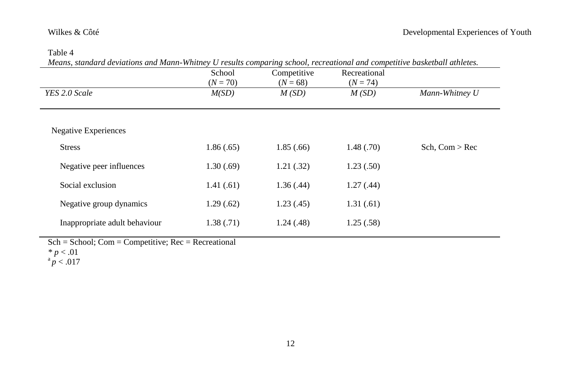### Table 4

*Means, standard deviations and Mann-Whitney U results comparing school, recreational and competitive basketball athletes.* 

|                               | School<br>$(N = 70)$ | Competitive<br>$(N = 68)$ | Recreational<br>$(N = 74)$ |                  |
|-------------------------------|----------------------|---------------------------|----------------------------|------------------|
| YES 2.0 Scale                 | M(SD)                | M(SD)                     | M(SD)                      | Mann-Whitney U   |
|                               |                      |                           |                            |                  |
| <b>Negative Experiences</b>   |                      |                           |                            |                  |
| <b>Stress</b>                 | 1.86(.65)            | 1.85(.66)                 | 1.48(0.70)                 | Sch, $Com > Rec$ |
| Negative peer influences      | 1.30(.69)            | 1.21(.32)                 | 1.23(.50)                  |                  |
| Social exclusion              | 1.41(0.61)           | 1.36(0.44)                | 1.27(0.44)                 |                  |
| Negative group dynamics       | 1.29(.62)            | 1.23(0.45)                | 1.31(61)                   |                  |
| Inappropriate adult behaviour | 1.38(0.71)           | 1.24(0.48)                | 1.25(.58)                  |                  |

Sch = School; Com = Competitive; Rec = Recreational

*\* p* < .01

 $^{a}p < .017$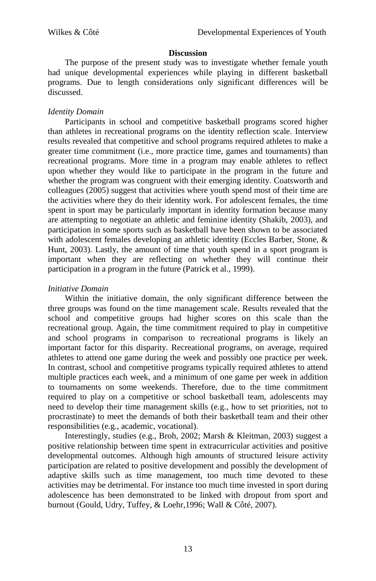### **Discussion**

The purpose of the present study was to investigate whether female youth had unique developmental experiences while playing in different basketball programs. Due to length considerations only significant differences will be discussed.

# *Identity Domain*

Participants in school and competitive basketball programs scored higher than athletes in recreational programs on the identity reflection scale. Interview results revealed that competitive and school programs required athletes to make a greater time commitment (i.e., more practice time, games and tournaments) than recreational programs. More time in a program may enable athletes to reflect upon whether they would like to participate in the program in the future and whether the program was congruent with their emerging identity. Coatsworth and colleagues (2005) suggest that activities where youth spend most of their time are the activities where they do their identity work. For adolescent females, the time spent in sport may be particularly important in identity formation because many are attempting to negotiate an athletic and feminine identity (Shakib, 2003), and participation in some sports such as basketball have been shown to be associated with adolescent females developing an athletic identity (Eccles Barber, Stone, & Hunt, 2003). Lastly, the amount of time that youth spend in a sport program is important when they are reflecting on whether they will continue their participation in a program in the future (Patrick et al., 1999).

# *Initiative Domain*

Within the initiative domain, the only significant difference between the three groups was found on the time management scale. Results revealed that the school and competitive groups had higher scores on this scale than the recreational group. Again, the time commitment required to play in competitive and school programs in comparison to recreational programs is likely an important factor for this disparity. Recreational programs, on average, required athletes to attend one game during the week and possibly one practice per week. In contrast, school and competitive programs typically required athletes to attend multiple practices each week, and a minimum of one game per week in addition to tournaments on some weekends. Therefore, due to the time commitment required to play on a competitive or school basketball team, adolescents may need to develop their time management skills (e.g., how to set priorities, not to procrastinate) to meet the demands of both their basketball team and their other responsibilities (e.g., academic, vocational).

Interestingly, studies (e.g., Broh, 2002; Marsh & Kleitman, 2003) suggest a positive relationship between time spent in extracurricular activities and positive developmental outcomes. Although high amounts of structured leisure activity participation are related to positive development and possibly the development of adaptive skills such as time management, too much time devoted to these activities may be detrimental. For instance too much time invested in sport during adolescence has been demonstrated to be linked with dropout from sport and burnout (Gould, Udry, Tuffey, & Loehr,1996; Wall & Côté, 2007).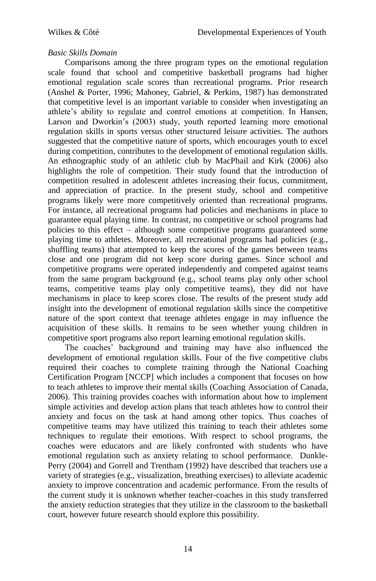### *Basic Skills Domain*

Comparisons among the three program types on the emotional regulation scale found that school and competitive basketball programs had higher emotional regulation scale scores than recreational programs. Prior research (Anshel & Porter, 1996; Mahoney, Gabriel, & Perkins, 1987) has demonstrated that competitive level is an important variable to consider when investigating an athlete"s ability to regulate and control emotions at competition. In Hansen, Larson and Dworkin's (2003) study, youth reported learning more emotional regulation skills in sports versus other structured leisure activities. The authors suggested that the competitive nature of sports, which encourages youth to excel during competition, contributes to the development of emotional regulation skills. An ethnographic study of an athletic club by MacPhail and Kirk (2006) also highlights the role of competition. Their study found that the introduction of competition resulted in adolescent athletes increasing their focus, commitment, and appreciation of practice. In the present study, school and competitive programs likely were more competitively oriented than recreational programs. For instance, all recreational programs had policies and mechanisms in place to guarantee equal playing time. In contrast, no competitive or school programs had policies to this effect – although some competitive programs guaranteed some playing time to athletes. Moreover, all recreational programs had policies (e.g., shuffling teams) that attempted to keep the scores of the games between teams close and one program did not keep score during games. Since school and competitive programs were operated independently and competed against teams from the same program background (e.g., school teams play only other school teams, competitive teams play only competitive teams), they did not have mechanisms in place to keep scores close. The results of the present study add insight into the development of emotional regulation skills since the competitive nature of the sport context that teenage athletes engage in may influence the acquisition of these skills. It remains to be seen whether young children in competitive sport programs also report learning emotional regulation skills.

The coaches" background and training may have also influenced the development of emotional regulation skills. Four of the five competitive clubs required their coaches to complete training through the National Coaching Certification Program [NCCP] which includes a component that focuses on how to teach athletes to improve their mental skills (Coaching Association of Canada, 2006). This training provides coaches with information about how to implement simple activities and develop action plans that teach athletes how to control their anxiety and focus on the task at hand among other topics. Thus coaches of competitive teams may have utilized this training to teach their athletes some techniques to regulate their emotions. With respect to school programs, the coaches were educators and are likely confronted with students who have emotional regulation such as anxiety relating to school performance. Dunkle-Perry (2004) and Gorrell and Trentham (1992) have described that teachers use a variety of strategies (e.g., visualization, breathing exercises) to alleviate academic anxiety to improve concentration and academic performance. From the results of the current study it is unknown whether teacher-coaches in this study transferred the anxiety reduction strategies that they utilize in the classroom to the basketball court, however future research should explore this possibility.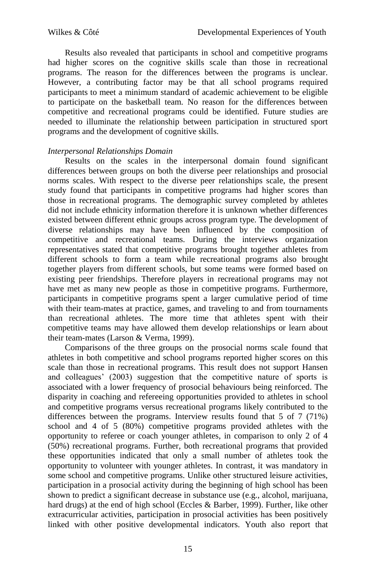Results also revealed that participants in school and competitive programs had higher scores on the cognitive skills scale than those in recreational programs. The reason for the differences between the programs is unclear. However, a contributing factor may be that all school programs required participants to meet a minimum standard of academic achievement to be eligible to participate on the basketball team. No reason for the differences between competitive and recreational programs could be identified. Future studies are needed to illuminate the relationship between participation in structured sport programs and the development of cognitive skills.

### *Interpersonal Relationships Domain*

Results on the scales in the interpersonal domain found significant differences between groups on both the diverse peer relationships and prosocial norms scales. With respect to the diverse peer relationships scale, the present study found that participants in competitive programs had higher scores than those in recreational programs. The demographic survey completed by athletes did not include ethnicity information therefore it is unknown whether differences existed between different ethnic groups across program type. The development of diverse relationships may have been influenced by the composition of competitive and recreational teams. During the interviews organization representatives stated that competitive programs brought together athletes from different schools to form a team while recreational programs also brought together players from different schools, but some teams were formed based on existing peer friendships. Therefore players in recreational programs may not have met as many new people as those in competitive programs. Furthermore, participants in competitive programs spent a larger cumulative period of time with their team-mates at practice, games, and traveling to and from tournaments than recreational athletes. The more time that athletes spent with their competitive teams may have allowed them develop relationships or learn about their team-mates (Larson & Verma, 1999).

Comparisons of the three groups on the prosocial norms scale found that athletes in both competitive and school programs reported higher scores on this scale than those in recreational programs. This result does not support Hansen and colleagues" (2003) suggestion that the competitive nature of sports is associated with a lower frequency of prosocial behaviours being reinforced. The disparity in coaching and refereeing opportunities provided to athletes in school and competitive programs versus recreational programs likely contributed to the differences between the programs. Interview results found that 5 of 7 (71%) school and 4 of 5 (80%) competitive programs provided athletes with the opportunity to referee or coach younger athletes, in comparison to only 2 of 4 (50%) recreational programs. Further, both recreational programs that provided these opportunities indicated that only a small number of athletes took the opportunity to volunteer with younger athletes. In contrast, it was mandatory in some school and competitive programs. Unlike other structured leisure activities, participation in a prosocial activity during the beginning of high school has been shown to predict a significant decrease in substance use (e.g., alcohol, marijuana, hard drugs) at the end of high school (Eccles & Barber, 1999). Further, like other extracurricular activities, participation in prosocial activities has been positively linked with other positive developmental indicators. Youth also report that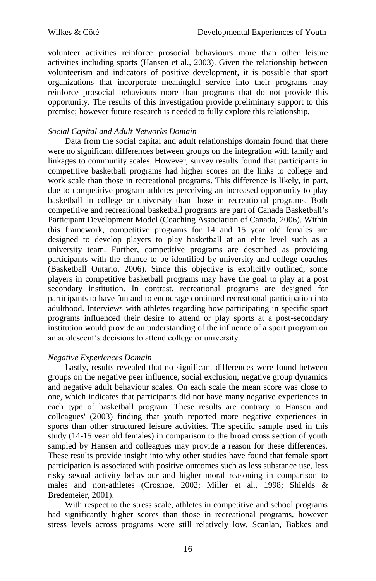volunteer activities reinforce prosocial behaviours more than other leisure activities including sports (Hansen et al., 2003). Given the relationship between volunteerism and indicators of positive development, it is possible that sport organizations that incorporate meaningful service into their programs may reinforce prosocial behaviours more than programs that do not provide this opportunity. The results of this investigation provide preliminary support to this premise; however future research is needed to fully explore this relationship.

### *Social Capital and Adult Networks Domain*

Data from the social capital and adult relationships domain found that there were no significant differences between groups on the integration with family and linkages to community scales. However, survey results found that participants in competitive basketball programs had higher scores on the links to college and work scale than those in recreational programs. This difference is likely, in part, due to competitive program athletes perceiving an increased opportunity to play basketball in college or university than those in recreational programs. Both competitive and recreational basketball programs are part of Canada Basketball"s Participant Development Model (Coaching Association of Canada, 2006). Within this framework, competitive programs for 14 and 15 year old females are designed to develop players to play basketball at an elite level such as a university team. Further, competitive programs are described as providing participants with the chance to be identified by university and college coaches (Basketball Ontario, 2006). Since this objective is explicitly outlined, some players in competitive basketball programs may have the goal to play at a post secondary institution. In contrast, recreational programs are designed for participants to have fun and to encourage continued recreational participation into adulthood. Interviews with athletes regarding how participating in specific sport programs influenced their desire to attend or play sports at a post-secondary institution would provide an understanding of the influence of a sport program on an adolescent"s decisions to attend college or university.

### *Negative Experiences Domain*

Lastly, results revealed that no significant differences were found between groups on the negative peer influence, social exclusion, negative group dynamics and negative adult behaviour scales. On each scale the mean score was close to one, which indicates that participants did not have many negative experiences in each type of basketball program. These results are contrary to Hansen and colleagues' (2003) finding that youth reported more negative experiences in sports than other structured leisure activities. The specific sample used in this study (14-15 year old females) in comparison to the broad cross section of youth sampled by Hansen and colleagues may provide a reason for these differences. These results provide insight into why other studies have found that female sport participation is associated with positive outcomes such as less substance use, less risky sexual activity behaviour and higher moral reasoning in comparison to males and non-athletes (Crosnoe, 2002; Miller et al., 1998; Shields & Bredemeier, 2001).

With respect to the stress scale, athletes in competitive and school programs had significantly higher scores than those in recreational programs, however stress levels across programs were still relatively low. Scanlan, Babkes and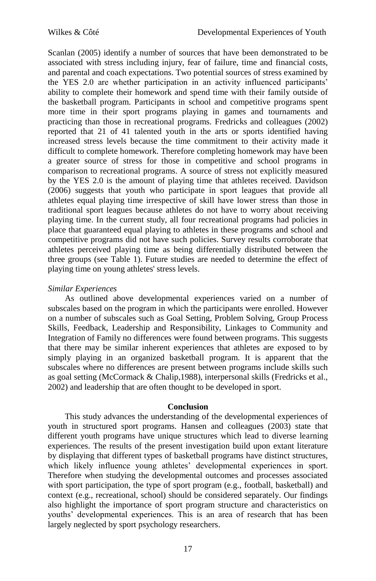Scanlan (2005) identify a number of sources that have been demonstrated to be associated with stress including injury, fear of failure, time and financial costs, and parental and coach expectations. Two potential sources of stress examined by the YES 2.0 are whether participation in an activity influenced participants" ability to complete their homework and spend time with their family outside of the basketball program. Participants in school and competitive programs spent more time in their sport programs playing in games and tournaments and practicing than those in recreational programs. Fredricks and colleagues (2002) reported that 21 of 41 talented youth in the arts or sports identified having increased stress levels because the time commitment to their activity made it difficult to complete homework. Therefore completing homework may have been a greater source of stress for those in competitive and school programs in comparison to recreational programs. A source of stress not explicitly measured by the YES 2.0 is the amount of playing time that athletes received. Davidson (2006) suggests that youth who participate in sport leagues that provide all athletes equal playing time irrespective of skill have lower stress than those in traditional sport leagues because athletes do not have to worry about receiving playing time. In the current study, all four recreational programs had policies in place that guaranteed equal playing to athletes in these programs and school and competitive programs did not have such policies. Survey results corroborate that athletes perceived playing time as being differentially distributed between the three groups (see Table 1). Future studies are needed to determine the effect of playing time on young athletes' stress levels.

# *Similar Experiences*

As outlined above developmental experiences varied on a number of subscales based on the program in which the participants were enrolled. However on a number of subscales such as Goal Setting, Problem Solving, Group Process Skills, Feedback, Leadership and Responsibility, Linkages to Community and Integration of Family no differences were found between programs. This suggests that there may be similar inherent experiences that athletes are exposed to by simply playing in an organized basketball program. It is apparent that the subscales where no differences are present between programs include skills such as goal setting (McCormack & Chalip,1988), interpersonal skills (Fredricks et al., 2002) and leadership that are often thought to be developed in sport.

### **Conclusion**

This study advances the understanding of the developmental experiences of youth in structured sport programs. Hansen and colleagues (2003) state that different youth programs have unique structures which lead to diverse learning experiences. The results of the present investigation build upon extant literature by displaying that different types of basketball programs have distinct structures, which likely influence young athletes' developmental experiences in sport. Therefore when studying the developmental outcomes and processes associated with sport participation, the type of sport program (e.g., football, basketball) and context (e.g., recreational, school) should be considered separately. Our findings also highlight the importance of sport program structure and characteristics on youths" developmental experiences. This is an area of research that has been largely neglected by sport psychology researchers.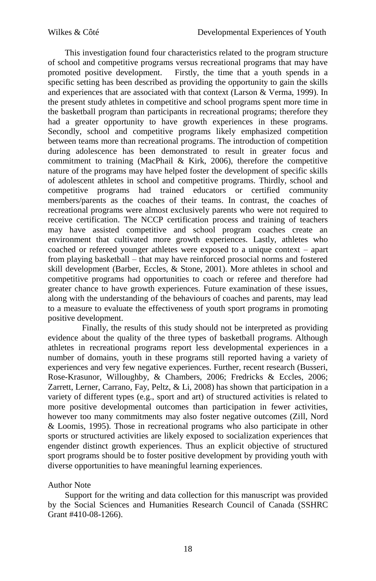This investigation found four characteristics related to the program structure of school and competitive programs versus recreational programs that may have promoted positive development. Firstly, the time that a youth spends in a specific setting has been described as providing the opportunity to gain the skills and experiences that are associated with that context (Larson & Verma, 1999). In the present study athletes in competitive and school programs spent more time in the basketball program than participants in recreational programs; therefore they had a greater opportunity to have growth experiences in these programs. Secondly, school and competitive programs likely emphasized competition between teams more than recreational programs. The introduction of competition during adolescence has been demonstrated to result in greater focus and commitment to training (MacPhail & Kirk, 2006), therefore the competitive nature of the programs may have helped foster the development of specific skills of adolescent athletes in school and competitive programs. Thirdly, school and competitive programs had trained educators or certified community members/parents as the coaches of their teams. In contrast, the coaches of recreational programs were almost exclusively parents who were not required to receive certification. The NCCP certification process and training of teachers may have assisted competitive and school program coaches create an environment that cultivated more growth experiences. Lastly, athletes who coached or refereed younger athletes were exposed to a unique context – apart from playing basketball – that may have reinforced prosocial norms and fostered skill development (Barber, Eccles, & Stone, 2001). More athletes in school and competitive programs had opportunities to coach or referee and therefore had greater chance to have growth experiences. Future examination of these issues, along with the understanding of the behaviours of coaches and parents, may lead to a measure to evaluate the effectiveness of youth sport programs in promoting positive development.

Finally, the results of this study should not be interpreted as providing evidence about the quality of the three types of basketball programs. Although athletes in recreational programs report less developmental experiences in a number of domains, youth in these programs still reported having a variety of experiences and very few negative experiences. Further, recent research (Busseri, Rose-Krasunor, Willoughby, & Chambers, 2006; Fredricks & Eccles, 2006; Zarrett, Lerner, Carrano, Fay, Peltz,  $&$  Li, 2008) has shown that participation in a variety of different types (e.g., sport and art) of structured activities is related to more positive developmental outcomes than participation in fewer activities, however too many commitments may also foster negative outcomes (Zill, Nord & Loomis, 1995). Those in recreational programs who also participate in other sports or structured activities are likely exposed to socialization experiences that engender distinct growth experiences. Thus an explicit objective of structured sport programs should be to foster positive development by providing youth with diverse opportunities to have meaningful learning experiences.

# Author Note

Support for the writing and data collection for this manuscript was provided by the Social Sciences and Humanities Research Council of Canada (SSHRC Grant #410-08-1266).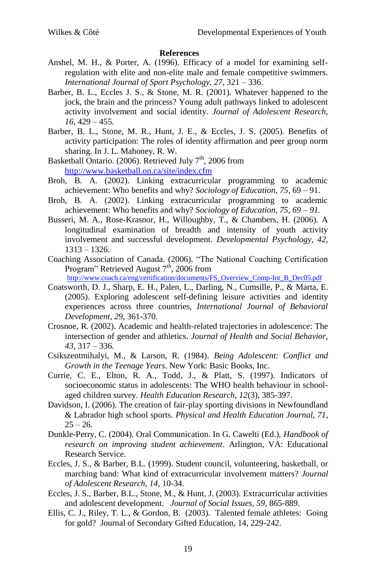### **References**

- Anshel, M. H., & Porter, A. (1996). Efficacy of a model for examining selfregulation with elite and non-elite male and female competitive swimmers. *International Journal of Sport Psychology, 27*, 321 – 336.
- Barber, B. L., Eccles J. S., & Stone, M. R. (2001). Whatever happened to the jock, the brain and the princess? Young adult pathways linked to adolescent activity involvement and social identity. *Journal of Adolescent Research, 16*, 429 – 455.
- Barber, B. L., Stone, M. R., Hunt, J. E., & Eccles, J. S. (2005). Benefits of activity participation: The roles of identity affirmation and peer group norm sharing. In J. L. Mahoney, R. W.
- Basketball Ontario. (2006). Retrieved July 7<sup>th</sup>, 2006 from <http://www.basketball.on.ca/site/index.cfm>
- Broh, B. A. (2002). Linking extracurricular programming to academic achievement: Who benefits and why? *Sociology of Education, 75*, 69 – 91.
- Broh, B. A. (2002). Linking extracurricular programming to academic achievement: Who benefits and why? *Sociology of Education, 75, 69 – 91.*
- Busseri, M. A., Rose-Krasnor, H., Willoughby, T., & Chambers, H. (2006). A longitudinal examination of breadth and intensity of youth activity involvement and successful development. *Developmental Psychology, 42,* 1313 – 1326.
- Coaching Association of Canada. (2006). "The National Coaching Certification Program" Retrieved August  $7<sup>th</sup>$ , 2006 from

[http://www.coach.ca/eng/certification/documents/FS\\_Overview\\_Comp-Int\\_B\\_Dec05.pdf](http://www.coach.ca/eng/certification/documents/FS_Overview_Comp-Int_B_Dec05.pdf)

- [Coatsworth, D. J.](https://proxy.queensu.ca/http/0/search1.scholarsportal.info/ids70/p_search_form.php?field=au&query=coatsworth+j+douglas&log=literal&SID=900c490c61a0a018cce51539aec34ab4), [Sharp, E. H.](https://proxy.queensu.ca/http/0/search1.scholarsportal.info/ids70/p_search_form.php?field=au&query=sharp+erin+hiley&log=literal&SID=900c490c61a0a018cce51539aec34ab4)[, Palen, L.](https://proxy.queensu.ca/http/0/search1.scholarsportal.info/ids70/p_search_form.php?field=au&query=palen+lori+ann&log=literal&SID=900c490c61a0a018cce51539aec34ab4), [Darling, N.,](https://proxy.queensu.ca/http/0/search1.scholarsportal.info/ids70/p_search_form.php?field=au&query=darling+nancy&log=literal&SID=900c490c61a0a018cce51539aec34ab4) [Cumsille, P.](https://proxy.queensu.ca/http/0/search1.scholarsportal.info/ids70/p_search_form.php?field=au&query=cumsille+patricio&log=literal&SID=900c490c61a0a018cce51539aec34ab4), & [Marta, E.](https://proxy.queensu.ca/http/0/search1.scholarsportal.info/ids70/p_search_form.php?field=au&query=marta+elena&log=literal&SID=900c490c61a0a018cce51539aec34ab4)  (2005). Exploring adolescent self-defining leisure activities and identity experiences across three countries, *International Journal of Behavioral Development, 29*, 361-370.
- Crosnoe, R. (2002). Academic and health-related trajectories in adolescence: The intersection of gender and athletics. *Journal of Health and Social Behavior, 43*, 317 – 336.
- Csikszentmihalyi, M., & Larson, R. (1984). *Being Adolescent: Conflict and Growth in the Teenage Years*. New York: Basic Books, Inc.
- Currie, C. E., Elton, R. A., Todd, J., & Platt, S. (1997). Indicators of socioeconomic status in adolescents: The WHO health behaviour in schoolaged children survey. *Health Education Research, 12*(3), 385-397.
- Davidson, I. (2006). The creation of fair-play sporting divisions in Newfoundland & Labrador high school sports. *Physical and Health Education Journal, 71*,  $25 - 26.$
- Dunkle-Perry, C. (2004). Oral Communication. In G. Cawelti (Ed.), *Handbook of research on improving student achievement*. Arlington, VA: Educational Research Service.
- Eccles, J. S., & Barber, B.L. (1999). Student council, volunteering, basketball, or marching band: What kind of extracurricular involvement matters? *Journal of Adolescent Research, 14*, 10-34.
- Eccles, J. S., Barber, B.L., Stone, M., & Hunt, J. (2003). Extracurricular activities and adolescent development. *Journal of Social Issues, 59*, 865-889.
- Ellis, C. J., Riley, T. L., & Gordon, B. (2003). Talented female athletes: Going for gold? Journal of Secondary Gifted Education, 14, 229-242.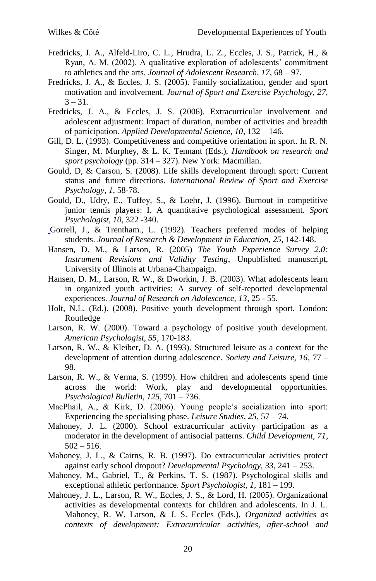- Fredricks, J. A., Alfeld-Liro, C. L., Hrudra, L. Z., Eccles, J. S., Patrick, H., & Ryan, A. M. (2002). A qualitative exploration of adolescents' commitment to athletics and the arts. *Journal of Adolescent Research, 17*, 68 – 97.
- Fredricks, J. A., & Eccles, J. S. (2005). Family socialization, gender and sport motivation and involvement. *Journal of Sport and Exercise Psychology, 27,*  $3 - 31.$
- Fredricks, J. A., & Eccles, J. S. (2006). Extracurricular involvement and adolescent adjustment: Impact of duration, number of activities and breadth of participation. *Applied Developmental Science, 10*, 132 – 146.
- Gill, D. L. (1993). Competitiveness and competitive orientation in sport. In R. N. Singer, M. Murphey, & L. K. Tennant (Eds.), *Handbook on research and sport psychology* (pp. 314 – 327). New York: Macmillan.
- Gould, D, & Carson, S. (2008). Life skills development through sport: Current status and future directions. *International Review of Sport and Exercise Psychology, 1*, 58-78.
- Gould, D., Udry, E., Tuffey, S., & Loehr, J. (1996). Burnout in competitive junior tennis players: I. A quantitative psychological assessment. *Sport Psychologist, 10*, 322 -340.
- Gorrell, J., & Trentham., L. (1992). Teachers preferred modes of helping students. *Journal of Research & Development in Education, 25*, 142-148.
- Hansen, D. M., & Larson, R. (2005) *The Youth Experience Survey 2.0: Instrument Revisions and Validity Testing*, Unpublished manuscript, University of Illinois at Urbana-Champaign.
- Hansen, D. M., Larson, R. W., & Dworkin, J. B. (2003). What adolescents learn in organized youth activities: A survey of self-reported developmental experiences. *Journal of Research on Adolescence, 13*, 25 - 55.
- Holt, N.L. (Ed.). (2008). Positive youth development through sport. London: Routledge
- Larson, R. W. (2000). Toward a psychology of positive youth development. *American Psychologist, 55*, 170-183.
- Larson, R. W., & Kleiber, D. A. (1993). Structured leisure as a context for the development of attention during adolescence. *Society and Leisure, 16*, 77 – 98.
- Larson, R. W., & Verma, S. (1999). How children and adolescents spend time across the world: Work, play and developmental opportunities. *Psychological Bulletin, 125*, 701 – 736.
- MacPhail, A., & Kirk, D. (2006). Young people"s socialization into sport: Experiencing the specialising phase. *Leisure Studies, 25*, 57 – 74.
- Mahoney, J. L. (2000). School extracurricular activity participation as a moderator in the development of antisocial patterns. *Child Development, 71*,  $502 - 516.$
- Mahoney, J. L., & Cairns, R. B. (1997). Do extracurricular activities protect against early school dropout? *Developmental Psychology, 33*, 241 – 253.
- Mahoney, M., Gabriel, T., & Perkins, T. S. (1987). Psychological skills and exceptional athletic performance. *Sport Psychologist, 1*, 181 – 199.
- Mahoney, J. L., Larson, R. W., Eccles, J. S., & Lord, H. (2005). Organizational activities as developmental contexts for children and adolescents. In J. L. Mahoney, R. W. Larson, & J. S. Eccles (Eds.), *Organized activities as contexts of development: Extracurricular activities, after-school and*